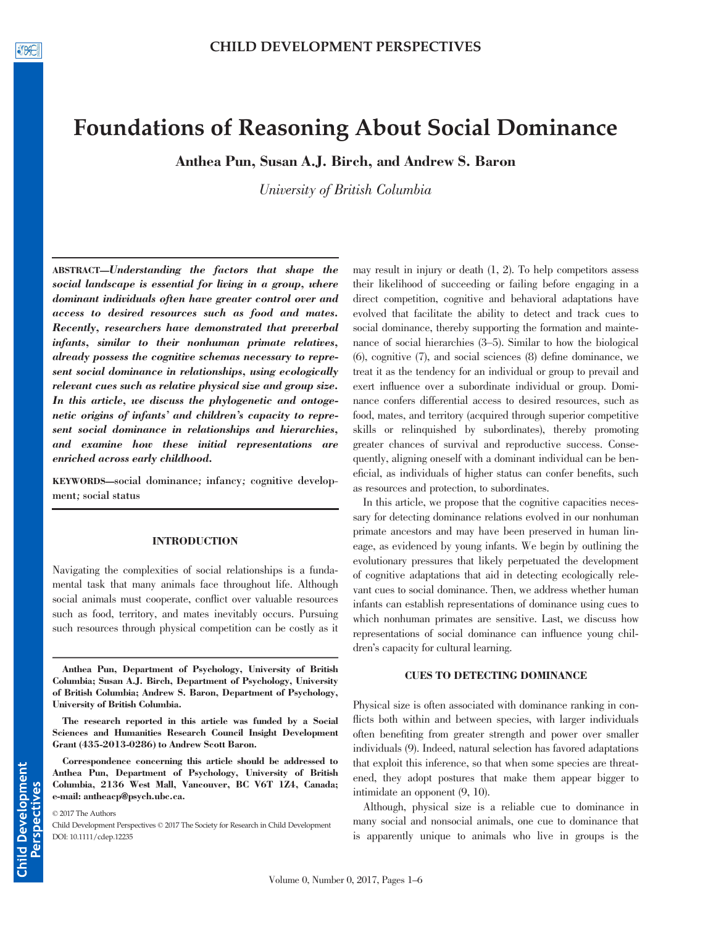# Foundations of Reasoning About Social Dominance

Anthea Pun, Susan A.J. Birch, and Andrew S. Baron

University of British Columbia

ABSTRACT—Understanding the factors that shape the social landscape is essential for living in a group, where dominant individuals often have greater control over and access to desired resources such as food and mates. Recently, researchers have demonstrated that preverbal infants, similar to their nonhuman primate relatives, already possess the cognitive schemas necessary to represent social dominance in relationships, using ecologically relevant cues such as relative physical size and group size. In this article, we discuss the phylogenetic and ontogenetic origins of infants' and children's capacity to represent social dominance in relationships and hierarchies, and examine how these initial representations are enriched across early childhood.

KEYWORDS—social dominance; infancy; cognitive development; social status

# INTRODUCTION

Navigating the complexities of social relationships is a fundamental task that many animals face throughout life. Although social animals must cooperate, conflict over valuable resources such as food, territory, and mates inevitably occurs. Pursuing such resources through physical competition can be costly as it

Anthea Pun, Department of Psychology, University of British Columbia; Susan A.J. Birch, Department of Psychology, University of British Columbia; Andrew S. Baron, Department of Psychology, University of British Columbia.

The research reported in this article was funded by a Social Sciences and Humanities Research Council Insight Development Grant (435-2013-0286) to Andrew Scott Baron.

Correspondence concerning this article should be addressed to Anthea Pun, Department of Psychology, University of British Columbia, 2136 West Mall, Vancouver, BC V6T 1Z4, Canada; e-mail: antheacp@psych.ubc.ca.

© 2017 The Authors

may result in injury or death (1, 2). To help competitors assess their likelihood of succeeding or failing before engaging in a direct competition, cognitive and behavioral adaptations have evolved that facilitate the ability to detect and track cues to social dominance, thereby supporting the formation and maintenance of social hierarchies (3–5). Similar to how the biological (6), cognitive (7), and social sciences (8) define dominance, we treat it as the tendency for an individual or group to prevail and exert influence over a subordinate individual or group. Dominance confers differential access to desired resources, such as food, mates, and territory (acquired through superior competitive skills or relinquished by subordinates), thereby promoting greater chances of survival and reproductive success. Consequently, aligning oneself with a dominant individual can be beneficial, as individuals of higher status can confer benefits, such as resources and protection, to subordinates.

In this article, we propose that the cognitive capacities necessary for detecting dominance relations evolved in our nonhuman primate ancestors and may have been preserved in human lineage, as evidenced by young infants. We begin by outlining the evolutionary pressures that likely perpetuated the development of cognitive adaptations that aid in detecting ecologically relevant cues to social dominance. Then, we address whether human infants can establish representations of dominance using cues to which nonhuman primates are sensitive. Last, we discuss how representations of social dominance can influence young children's capacity for cultural learning.

## CUES TO DETECTING DOMINANCE

Physical size is often associated with dominance ranking in conflicts both within and between species, with larger individuals often benefiting from greater strength and power over smaller individuals (9). Indeed, natural selection has favored adaptations that exploit this inference, so that when some species are threatened, they adopt postures that make them appear bigger to intimidate an opponent (9, 10).

Although, physical size is a reliable cue to dominance in many social and nonsocial animals, one cue to dominance that is apparently unique to animals who live in groups is the

Child Development Perspectives © 2017 The Society for Research in Child Development DOI: 10.1111/cdep.12235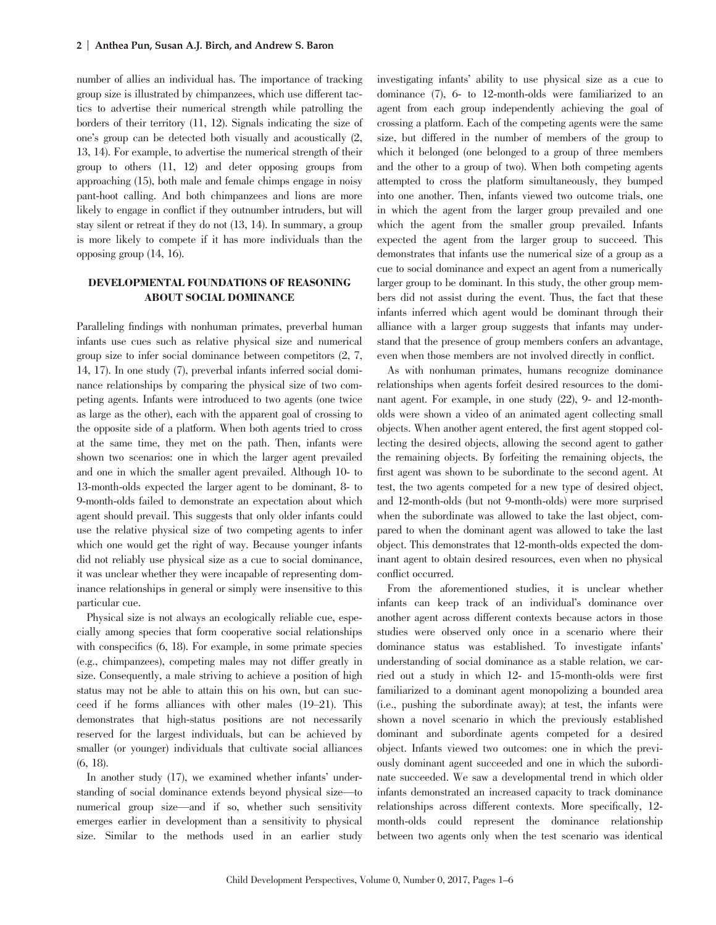number of allies an individual has. The importance of tracking group size is illustrated by chimpanzees, which use different tactics to advertise their numerical strength while patrolling the borders of their territory (11, 12). Signals indicating the size of one's group can be detected both visually and acoustically (2, 13, 14). For example, to advertise the numerical strength of their group to others (11, 12) and deter opposing groups from approaching (15), both male and female chimps engage in noisy pant-hoot calling. And both chimpanzees and lions are more likely to engage in conflict if they outnumber intruders, but will stay silent or retreat if they do not (13, 14). In summary, a group is more likely to compete if it has more individuals than the opposing group (14, 16).

## DEVELOPMENTAL FOUNDATIONS OF REASONING ABOUT SOCIAL DOMINANCE

Paralleling findings with nonhuman primates, preverbal human infants use cues such as relative physical size and numerical group size to infer social dominance between competitors (2, 7, 14, 17). In one study (7), preverbal infants inferred social dominance relationships by comparing the physical size of two competing agents. Infants were introduced to two agents (one twice as large as the other), each with the apparent goal of crossing to the opposite side of a platform. When both agents tried to cross at the same time, they met on the path. Then, infants were shown two scenarios: one in which the larger agent prevailed and one in which the smaller agent prevailed. Although 10- to 13-month-olds expected the larger agent to be dominant, 8- to 9-month-olds failed to demonstrate an expectation about which agent should prevail. This suggests that only older infants could use the relative physical size of two competing agents to infer which one would get the right of way. Because younger infants did not reliably use physical size as a cue to social dominance, it was unclear whether they were incapable of representing dominance relationships in general or simply were insensitive to this particular cue.

Physical size is not always an ecologically reliable cue, especially among species that form cooperative social relationships with conspecifics  $(6, 18)$ . For example, in some primate species (e.g., chimpanzees), competing males may not differ greatly in size. Consequently, a male striving to achieve a position of high status may not be able to attain this on his own, but can succeed if he forms alliances with other males (19–21). This demonstrates that high-status positions are not necessarily reserved for the largest individuals, but can be achieved by smaller (or younger) individuals that cultivate social alliances (6, 18).

In another study (17), we examined whether infants' understanding of social dominance extends beyond physical size—to numerical group size—and if so, whether such sensitivity emerges earlier in development than a sensitivity to physical size. Similar to the methods used in an earlier study

investigating infants' ability to use physical size as a cue to dominance (7), 6- to 12-month-olds were familiarized to an agent from each group independently achieving the goal of crossing a platform. Each of the competing agents were the same size, but differed in the number of members of the group to which it belonged (one belonged to a group of three members and the other to a group of two). When both competing agents attempted to cross the platform simultaneously, they bumped into one another. Then, infants viewed two outcome trials, one in which the agent from the larger group prevailed and one which the agent from the smaller group prevailed. Infants expected the agent from the larger group to succeed. This demonstrates that infants use the numerical size of a group as a cue to social dominance and expect an agent from a numerically larger group to be dominant. In this study, the other group members did not assist during the event. Thus, the fact that these infants inferred which agent would be dominant through their alliance with a larger group suggests that infants may understand that the presence of group members confers an advantage, even when those members are not involved directly in conflict.

As with nonhuman primates, humans recognize dominance relationships when agents forfeit desired resources to the dominant agent. For example, in one study (22), 9- and 12-montholds were shown a video of an animated agent collecting small objects. When another agent entered, the first agent stopped collecting the desired objects, allowing the second agent to gather the remaining objects. By forfeiting the remaining objects, the first agent was shown to be subordinate to the second agent. At test, the two agents competed for a new type of desired object, and 12-month-olds (but not 9-month-olds) were more surprised when the subordinate was allowed to take the last object, compared to when the dominant agent was allowed to take the last object. This demonstrates that 12-month-olds expected the dominant agent to obtain desired resources, even when no physical conflict occurred.

From the aforementioned studies, it is unclear whether infants can keep track of an individual's dominance over another agent across different contexts because actors in those studies were observed only once in a scenario where their dominance status was established. To investigate infants' understanding of social dominance as a stable relation, we carried out a study in which 12- and 15-month-olds were first familiarized to a dominant agent monopolizing a bounded area (i.e., pushing the subordinate away); at test, the infants were shown a novel scenario in which the previously established dominant and subordinate agents competed for a desired object. Infants viewed two outcomes: one in which the previously dominant agent succeeded and one in which the subordinate succeeded. We saw a developmental trend in which older infants demonstrated an increased capacity to track dominance relationships across different contexts. More specifically, 12 month-olds could represent the dominance relationship between two agents only when the test scenario was identical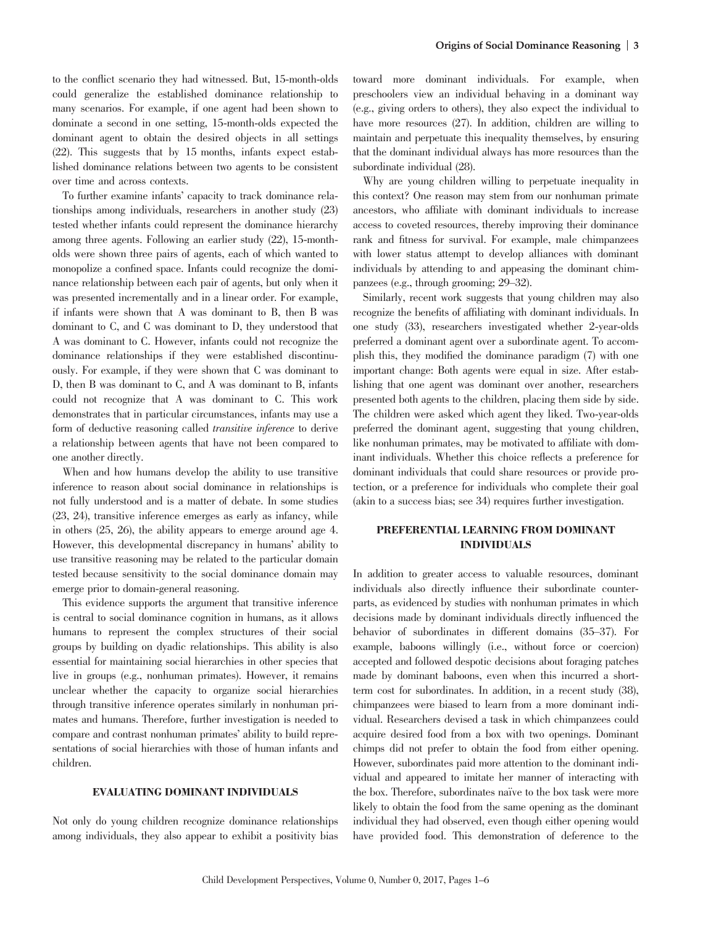to the conflict scenario they had witnessed. But, 15-month-olds could generalize the established dominance relationship to many scenarios. For example, if one agent had been shown to dominate a second in one setting, 15-month-olds expected the dominant agent to obtain the desired objects in all settings (22). This suggests that by 15 months, infants expect established dominance relations between two agents to be consistent over time and across contexts.

To further examine infants' capacity to track dominance relationships among individuals, researchers in another study (23) tested whether infants could represent the dominance hierarchy among three agents. Following an earlier study (22), 15-montholds were shown three pairs of agents, each of which wanted to monopolize a confined space. Infants could recognize the dominance relationship between each pair of agents, but only when it was presented incrementally and in a linear order. For example, if infants were shown that A was dominant to B, then B was dominant to C, and C was dominant to D, they understood that A was dominant to C. However, infants could not recognize the dominance relationships if they were established discontinuously. For example, if they were shown that C was dominant to D, then B was dominant to C, and A was dominant to B, infants could not recognize that A was dominant to C. This work demonstrates that in particular circumstances, infants may use a form of deductive reasoning called *transitive inference* to derive a relationship between agents that have not been compared to one another directly.

When and how humans develop the ability to use transitive inference to reason about social dominance in relationships is not fully understood and is a matter of debate. In some studies (23, 24), transitive inference emerges as early as infancy, while in others (25, 26), the ability appears to emerge around age 4. However, this developmental discrepancy in humans' ability to use transitive reasoning may be related to the particular domain tested because sensitivity to the social dominance domain may emerge prior to domain-general reasoning.

This evidence supports the argument that transitive inference is central to social dominance cognition in humans, as it allows humans to represent the complex structures of their social groups by building on dyadic relationships. This ability is also essential for maintaining social hierarchies in other species that live in groups (e.g., nonhuman primates). However, it remains unclear whether the capacity to organize social hierarchies through transitive inference operates similarly in nonhuman primates and humans. Therefore, further investigation is needed to compare and contrast nonhuman primates' ability to build representations of social hierarchies with those of human infants and children.

#### EVALUATING DOMINANT INDIVIDUALS

Not only do young children recognize dominance relationships among individuals, they also appear to exhibit a positivity bias toward more dominant individuals. For example, when preschoolers view an individual behaving in a dominant way (e.g., giving orders to others), they also expect the individual to have more resources  $(27)$ . In addition, children are willing to maintain and perpetuate this inequality themselves, by ensuring that the dominant individual always has more resources than the subordinate individual (28).

Why are young children willing to perpetuate inequality in this context? One reason may stem from our nonhuman primate ancestors, who affiliate with dominant individuals to increase access to coveted resources, thereby improving their dominance rank and fitness for survival. For example, male chimpanzees with lower status attempt to develop alliances with dominant individuals by attending to and appeasing the dominant chimpanzees (e.g., through grooming; 29–32).

Similarly, recent work suggests that young children may also recognize the benefits of affiliating with dominant individuals. In one study (33), researchers investigated whether 2-year-olds preferred a dominant agent over a subordinate agent. To accomplish this, they modified the dominance paradigm (7) with one important change: Both agents were equal in size. After establishing that one agent was dominant over another, researchers presented both agents to the children, placing them side by side. The children were asked which agent they liked. Two-year-olds preferred the dominant agent, suggesting that young children, like nonhuman primates, may be motivated to affiliate with dominant individuals. Whether this choice reflects a preference for dominant individuals that could share resources or provide protection, or a preference for individuals who complete their goal (akin to a success bias; see 34) requires further investigation.

# PREFERENTIAL LEARNING FROM DOMINANT INDIVIDUALS

In addition to greater access to valuable resources, dominant individuals also directly influence their subordinate counterparts, as evidenced by studies with nonhuman primates in which decisions made by dominant individuals directly influenced the behavior of subordinates in different domains (35–37). For example, baboons willingly (i.e., without force or coercion) accepted and followed despotic decisions about foraging patches made by dominant baboons, even when this incurred a shortterm cost for subordinates. In addition, in a recent study (38), chimpanzees were biased to learn from a more dominant individual. Researchers devised a task in which chimpanzees could acquire desired food from a box with two openings. Dominant chimps did not prefer to obtain the food from either opening. However, subordinates paid more attention to the dominant individual and appeared to imitate her manner of interacting with the box. Therefore, subordinates naïve to the box task were more likely to obtain the food from the same opening as the dominant individual they had observed, even though either opening would have provided food. This demonstration of deference to the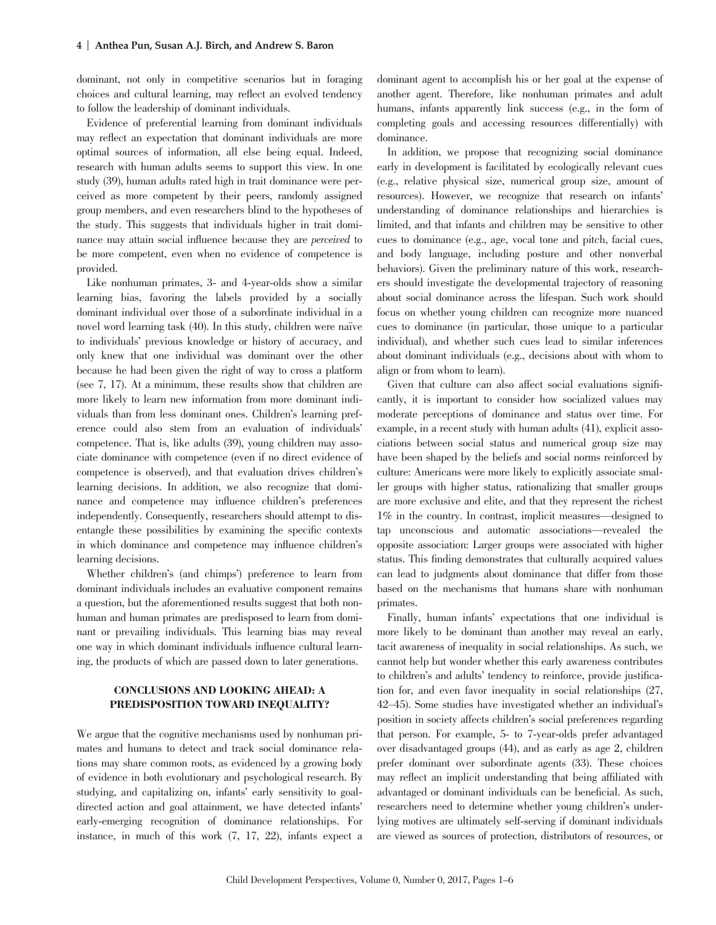dominant, not only in competitive scenarios but in foraging choices and cultural learning, may reflect an evolved tendency to follow the leadership of dominant individuals.

Evidence of preferential learning from dominant individuals may reflect an expectation that dominant individuals are more optimal sources of information, all else being equal. Indeed, research with human adults seems to support this view. In one study (39), human adults rated high in trait dominance were perceived as more competent by their peers, randomly assigned group members, and even researchers blind to the hypotheses of the study. This suggests that individuals higher in trait dominance may attain social influence because they are perceived to be more competent, even when no evidence of competence is provided.

Like nonhuman primates, 3- and 4-year-olds show a similar learning bias, favoring the labels provided by a socially dominant individual over those of a subordinate individual in a novel word learning task (40). In this study, children were naïve to individuals' previous knowledge or history of accuracy, and only knew that one individual was dominant over the other because he had been given the right of way to cross a platform (see 7, 17). At a minimum, these results show that children are more likely to learn new information from more dominant individuals than from less dominant ones. Children's learning preference could also stem from an evaluation of individuals' competence. That is, like adults (39), young children may associate dominance with competence (even if no direct evidence of competence is observed), and that evaluation drives children's learning decisions. In addition, we also recognize that dominance and competence may influence children's preferences independently. Consequently, researchers should attempt to disentangle these possibilities by examining the specific contexts in which dominance and competence may influence children's learning decisions.

Whether children's (and chimps') preference to learn from dominant individuals includes an evaluative component remains a question, but the aforementioned results suggest that both nonhuman and human primates are predisposed to learn from dominant or prevailing individuals. This learning bias may reveal one way in which dominant individuals influence cultural learning, the products of which are passed down to later generations.

## CONCLUSIONS AND LOOKING AHEAD: A PREDISPOSITION TOWARD INEQUALITY?

We argue that the cognitive mechanisms used by nonhuman primates and humans to detect and track social dominance relations may share common roots, as evidenced by a growing body of evidence in both evolutionary and psychological research. By studying, and capitalizing on, infants' early sensitivity to goaldirected action and goal attainment, we have detected infants' early-emerging recognition of dominance relationships. For instance, in much of this work (7, 17, 22), infants expect a dominant agent to accomplish his or her goal at the expense of another agent. Therefore, like nonhuman primates and adult humans, infants apparently link success (e.g., in the form of completing goals and accessing resources differentially) with dominance.

In addition, we propose that recognizing social dominance early in development is facilitated by ecologically relevant cues (e.g., relative physical size, numerical group size, amount of resources). However, we recognize that research on infants' understanding of dominance relationships and hierarchies is limited, and that infants and children may be sensitive to other cues to dominance (e.g., age, vocal tone and pitch, facial cues, and body language, including posture and other nonverbal behaviors). Given the preliminary nature of this work, researchers should investigate the developmental trajectory of reasoning about social dominance across the lifespan. Such work should focus on whether young children can recognize more nuanced cues to dominance (in particular, those unique to a particular individual), and whether such cues lead to similar inferences about dominant individuals (e.g., decisions about with whom to align or from whom to learn).

Given that culture can also affect social evaluations significantly, it is important to consider how socialized values may moderate perceptions of dominance and status over time. For example, in a recent study with human adults (41), explicit associations between social status and numerical group size may have been shaped by the beliefs and social norms reinforced by culture: Americans were more likely to explicitly associate smaller groups with higher status, rationalizing that smaller groups are more exclusive and elite, and that they represent the richest 1% in the country. In contrast, implicit measures—designed to tap unconscious and automatic associations—revealed the opposite association: Larger groups were associated with higher status. This finding demonstrates that culturally acquired values can lead to judgments about dominance that differ from those based on the mechanisms that humans share with nonhuman primates.

Finally, human infants' expectations that one individual is more likely to be dominant than another may reveal an early, tacit awareness of inequality in social relationships. As such, we cannot help but wonder whether this early awareness contributes to children's and adults' tendency to reinforce, provide justification for, and even favor inequality in social relationships (27, 42–45). Some studies have investigated whether an individual's position in society affects children's social preferences regarding that person. For example, 5- to 7-year-olds prefer advantaged over disadvantaged groups (44), and as early as age 2, children prefer dominant over subordinate agents (33). These choices may reflect an implicit understanding that being affiliated with advantaged or dominant individuals can be beneficial. As such, researchers need to determine whether young children's underlying motives are ultimately self-serving if dominant individuals are viewed as sources of protection, distributors of resources, or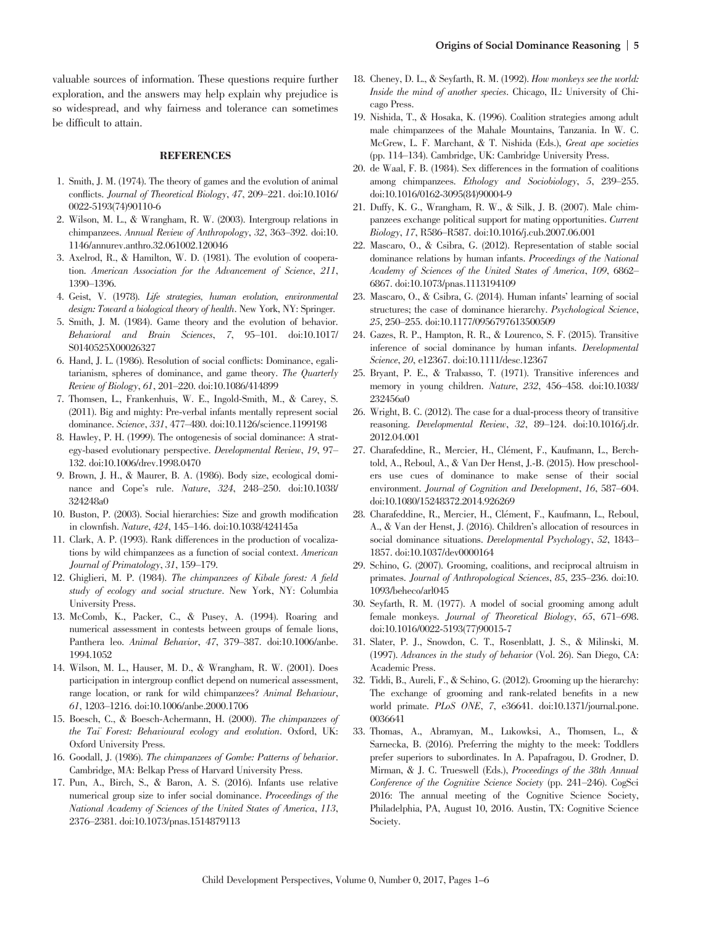valuable sources of information. These questions require further exploration, and the answers may help explain why prejudice is so widespread, and why fairness and tolerance can sometimes be difficult to attain.

#### REFERENCES

- 1. Smith, J. M. (1974). The theory of games and the evolution of animal conflicts. Journal of Theoretical Biology, 47, 209–221. doi[:10.1016/](https://doi.org/10.1016/0022-5193(74)90110-6) [0022-5193\(74\)90110-6](https://doi.org/10.1016/0022-5193(74)90110-6)
- 2. Wilson, M. L., & Wrangham, R. W. (2003). Intergroup relations in chimpanzees. Annual Review of Anthropology, 32, 363–392. doi:[10.](https://doi.org/10.1146/annurev.anthro.32.061002.120046) [1146/annurev.anthro.32.061002.120046](https://doi.org/10.1146/annurev.anthro.32.061002.120046)
- 3. Axelrod, R., & Hamilton, W. D. (1981). The evolution of cooperation. American Association for the Advancement of Science, 211, 1390–1396.
- 4. Geist, V. (1978). Life strategies, human evolution, environmental design: Toward a biological theory of health. New York, NY: Springer.
- 5. Smith, J. M. (1984). Game theory and the evolution of behavior. Behavioral and Brain Sciences, 7, 95–101. doi[:10.1017/](https://doi.org/10.1017/S0140525X00026327) [S0140525X00026327](https://doi.org/10.1017/S0140525X00026327)
- 6. Hand, J. L. (1986). Resolution of social conflicts: Dominance, egalitarianism, spheres of dominance, and game theory. The Quarterly Review of Biology, 61, 201–220. doi[:10.1086/414899](https://doi.org/10.1086/414899)
- 7. Thomsen, L., Frankenhuis, W. E., Ingold-Smith, M., & Carey, S. (2011). Big and mighty: Pre-verbal infants mentally represent social dominance. Science, 331, 477–480. doi[:10.1126/science.1199198](https://doi.org/10.1126/science.1199198)
- 8. Hawley, P. H. (1999). The ontogenesis of social dominance: A strategy-based evolutionary perspective. Developmental Review, 19, 97– 132. doi[:10.1006/drev.1998.0470](https://doi.org/10.1006/drev.1998.0470)
- 9. Brown, J. H., & Maurer, B. A. (1986). Body size, ecological dominance and Cope's rule. Nature, 324, 248–250. doi[:10.1038/](https://doi.org/10.1038/324248a0) [324248a0](https://doi.org/10.1038/324248a0)
- 10. Buston, P. (2003). Social hierarchies: Size and growth modification in clownfish. Nature, 424, 145–146. doi[:10.1038/424145a](https://doi.org/10.1038/424145a)
- 11. Clark, A. P. (1993). Rank differences in the production of vocalizations by wild chimpanzees as a function of social context. American Journal of Primatology, 31, 159–179.
- 12. Ghiglieri, M. P. (1984). The chimpanzees of Kibale forest: A field study of ecology and social structure. New York, NY: Columbia University Press.
- 13. McComb, K., Packer, C., & Pusey, A. (1994). Roaring and numerical assessment in contests between groups of female lions, Panthera leo. Animal Behavior, 47, 379–387. doi[:10.1006/anbe.](https://doi.org/10.1006/anbe.1994.1052) [1994.1052](https://doi.org/10.1006/anbe.1994.1052)
- 14. Wilson, M. L., Hauser, M. D., & Wrangham, R. W. (2001). Does participation in intergroup conflict depend on numerical assessment, range location, or rank for wild chimpanzees? Animal Behaviour, 61, 1203–1216. doi:[10.1006/anbe.2000.1706](https://doi.org/10.1006/anbe.2000.1706)
- 15. Boesch, C., & Boesch-Achermann, H. (2000). The chimpanzees of the Tai Forest: Behavioural ecology and evolution. Oxford, UK: Oxford University Press.
- 16. Goodall, J. (1986). The chimpanzees of Gombe: Patterns of behavior. Cambridge, MA: Belkap Press of Harvard University Press.
- 17. Pun, A., Birch, S., & Baron, A. S. (2016). Infants use relative numerical group size to infer social dominance. Proceedings of the National Academy of Sciences of the United States of America, 113, 2376–2381. doi:[10.1073/pnas.1514879113](https://doi.org/10.1073/pnas.1514879113)
- 18. Cheney, D. L., & Seyfarth, R. M. (1992). How monkeys see the world: Inside the mind of another species. Chicago, IL: University of Chicago Press.
- 19. Nishida, T., & Hosaka, K. (1996). Coalition strategies among adult male chimpanzees of the Mahale Mountains, Tanzania. In W. C. McGrew, L. F. Marchant, & T. Nishida (Eds.), Great ape societies (pp. 114–134). Cambridge, UK: Cambridge University Press.
- 20. de Waal, F. B. (1984). Sex differences in the formation of coalitions among chimpanzees. Ethology and Sociobiology, 5, 239–255. doi[:10.1016/0162-3095\(84\)90004-9](https://doi.org/10.1016/0162-3095(84)90004-9)
- 21. Duffy, K. G., Wrangham, R. W., & Silk, J. B. (2007). Male chimpanzees exchange political support for mating opportunities. Current Biology, 17, R586–R587. doi[:10.1016/j.cub.2007.06.001](https://doi.org/10.1016/j.cub.2007.06.001)
- 22. Mascaro, O., & Csibra, G. (2012). Representation of stable social dominance relations by human infants. Proceedings of the National Academy of Sciences of the United States of America, 109, 6862– 6867. doi[:10.1073/pnas.1113194109](https://doi.org/10.1073/pnas.1113194109)
- 23. Mascaro, O., & Csibra, G. (2014). Human infants' learning of social structures; the case of dominance hierarchy. Psychological Science, 25, 250–255. doi[:10.1177/0956797613500509](https://doi.org/10.1177/0956797613500509)
- 24. Gazes, R. P., Hampton, R. R., & Lourenco, S. F. (2015). Transitive inference of social dominance by human infants. Developmental Science, 20, e12367. doi:[10.1111/desc.12367](https://doi.org/10.1111/desc.12367)
- 25. Bryant, P. E., & Trabasso, T. (1971). Transitive inferences and memory in young children. Nature, 232, 456–458. doi[:10.1038/](https://doi.org/10.1038/232456a0) [232456a0](https://doi.org/10.1038/232456a0)
- 26. Wright, B. C. (2012). The case for a dual-process theory of transitive reasoning. Developmental Review, 32, 89–124. doi:[10.1016/j.dr.](https://doi.org/10.1016/j.dr.2012.04.001) [2012.04.001](https://doi.org/10.1016/j.dr.2012.04.001)
- 27. Charafeddine, R., Mercier, H., Clément, F., Kaufmann, L., Berchtold, A., Reboul, A., & Van Der Henst, J.-B. (2015). How preschoolers use cues of dominance to make sense of their social environment. Journal of Cognition and Development, 16, 587–604. doi[:10.1080/15248372.2014.926269](https://doi.org/10.1080/15248372.2014.926269)
- 28. Charafeddine, R., Mercier, H., Clément, F., Kaufmann, L., Reboul, A., & Van der Henst, J. (2016). Children's allocation of resources in social dominance situations. Developmental Psychology, 52, 1843– 1857. doi[:10.1037/dev0000164](https://doi.org/10.1037/dev0000164)
- 29. Schino, G. (2007). Grooming, coalitions, and reciprocal altruism in primates. Journal of Anthropological Sciences, 85, 235–236. doi:[10.](https://doi.org/10.1093/beheco/arl045) [1093/beheco/arl045](https://doi.org/10.1093/beheco/arl045)
- 30. Seyfarth, R. M. (1977). A model of social grooming among adult female monkeys. Journal of Theoretical Biology, 65, 671–698. doi[:10.1016/0022-5193\(77\)90015-7](https://doi.org/10.1016/0022-5193(77)90015-7)
- 31. Slater, P. J., Snowdon, C. T., Rosenblatt, J. S., & Milinski, M. (1997). Advances in the study of behavior (Vol. 26). San Diego, CA: Academic Press.
- 32. Tiddi, B., Aureli, F., & Schino, G. (2012). Grooming up the hierarchy: The exchange of grooming and rank-related benefits in a new world primate. PLoS ONE, 7, e36641. doi[:10.1371/journal.pone.](https://doi.org/10.1371/journal.pone.0036641) [0036641](https://doi.org/10.1371/journal.pone.0036641)
- 33. Thomas, A., Abramyan, M., Lukowksi, A., Thomsen, L., & Sarnecka, B. (2016). Preferring the mighty to the meek: Toddlers prefer superiors to subordinates. In A. Papafragou, D. Grodner, D. Mirman, & J. C. Trueswell (Eds.), Proceedings of the 38th Annual Conference of the Cognitive Science Society (pp. 241–246). CogSci 2016: The annual meeting of the Cognitive Science Society, Philadelphia, PA, August 10, 2016. Austin, TX: Cognitive Science Society.